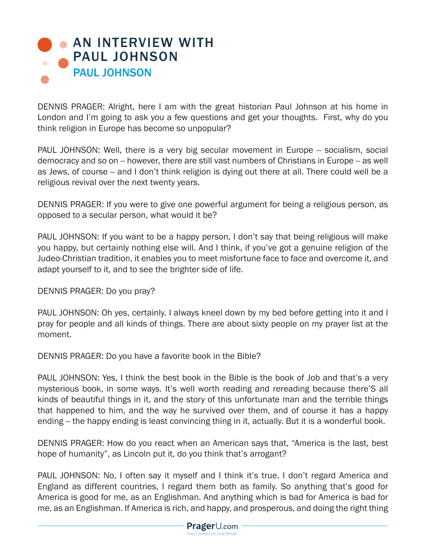## **AN INTERVIEW WITH** PAUL JOHNSON PAUL JOHNSON

DENNIS PRAGER: Alright, here I am with the great historian Paul Johnson at his home in London and I'm going to ask you a few questions and get your thoughts. First, why do you think religion in Europe has become so unpopular?

PAUL JOHNSON: Well, there is a very big secular movement in Europe -- socialism, social democracy and so on -- however, there are still vast numbers of Christians in Europe -- as well as Jews, of course -- and I don't think religion is dying out there at all. There could well be a religious revival over the next twenty years.

DENNIS PRAGER: If you were to give one powerful argument for being a religious person, as opposed to a secular person, what would it be?

PAUL JOHNSON: If you want to be a happy person, I don't say that being religious will make you happy, but certainly nothing else will. And I think, if you've got a genuine religion of the Judeo-Christian tradition, it enables you to meet misfortune face to face and overcome it, and adapt yourself to it, and to see the brighter side of life.

DENNIS PRAGER: Do you pray?

PAUL JOHNSON: Oh yes, certainly. I always kneel down by my bed before getting into it and I pray for people and all kinds of things. There are about sixty people on my prayer list at the moment.

DENNIS PRAGER: Do you have a favorite book in the Bible?

PAUL JOHNSON: Yes, I think the best book in the Bible is the book of Job and that's a very mysterious book, in some ways. It's well worth reading and rereading because there'S all kinds of beautiful things in it, and the story of this unfortunate man and the terrible things that happened to him, and the way he survived over them, and of course it has a happy ending -- the happy ending is least convincing thing in it, actually. But it is a wonderful book.

DENNIS PRAGER: How do you react when an American says that, "America is the last, best hope of humanity", as Lincoln put it, do you think that's arrogant?

PAUL JOHNSON: No, I often say it myself and I think it's true. I don't regard America and England as different countries, I regard them both as family. So anything that's good for America is good for me, as an Englishman. And anything which is bad for America is bad for me, as an Englishman. If America is rich, and happy, and prosperous, and doing the right thing